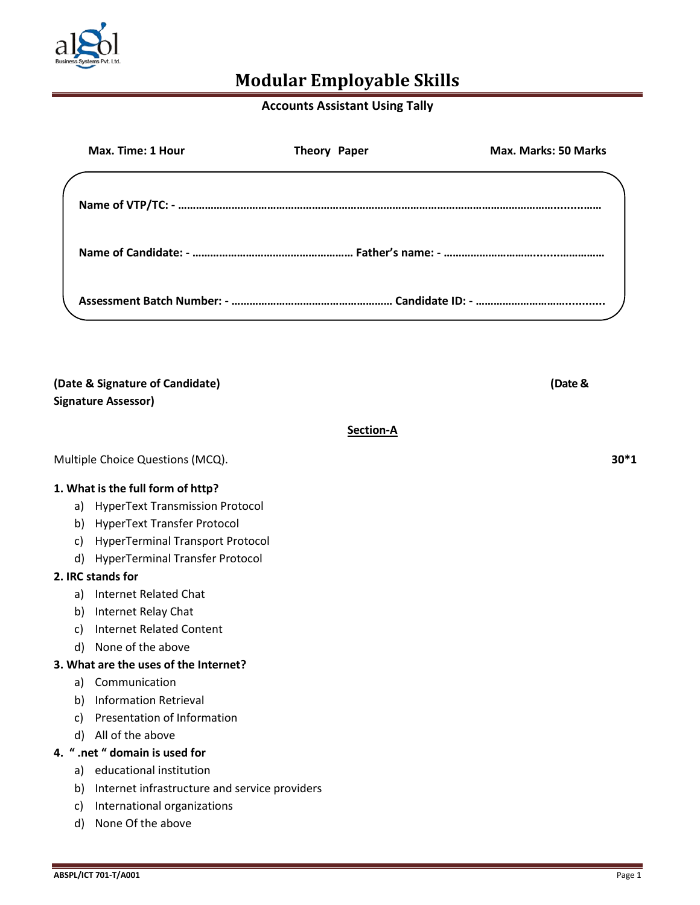

## **Accounts Assistant Using Tally**

| Max. Time: 1 Hour | Theory Paper | <b>Max. Marks: 50 Marks</b> |
|-------------------|--------------|-----------------------------|
|                   |              |                             |
|                   |              |                             |
|                   |              |                             |
|                   |              |                             |

|    | (Date & Signature of Candidate)<br><b>Signature Assessor)</b> | (Date & |        |
|----|---------------------------------------------------------------|---------|--------|
|    | Section-A                                                     |         |        |
|    | Multiple Choice Questions (MCQ).                              |         | $30*1$ |
|    | 1. What is the full form of http?                             |         |        |
| a) | <b>HyperText Transmission Protocol</b>                        |         |        |
| b) | <b>HyperText Transfer Protocol</b>                            |         |        |
| c) | <b>HyperTerminal Transport Protocol</b>                       |         |        |
| d) | <b>HyperTerminal Transfer Protocol</b>                        |         |        |
|    | 2. IRC stands for                                             |         |        |
| a) | Internet Related Chat                                         |         |        |
| b) | Internet Relay Chat                                           |         |        |
| c) | <b>Internet Related Content</b>                               |         |        |
| d) | None of the above                                             |         |        |
|    | 3. What are the uses of the Internet?                         |         |        |
| a) | Communication                                                 |         |        |
| b) | <b>Information Retrieval</b>                                  |         |        |
| c) | Presentation of Information                                   |         |        |
| d) | All of the above                                              |         |        |
|    | 4. " .net " domain is used for                                |         |        |
|    | a) educational institution                                    |         |        |
| b) | Internet infrastructure and service providers                 |         |        |
| C) | International organizations                                   |         |        |
| d) | None Of the above                                             |         |        |
|    |                                                               |         |        |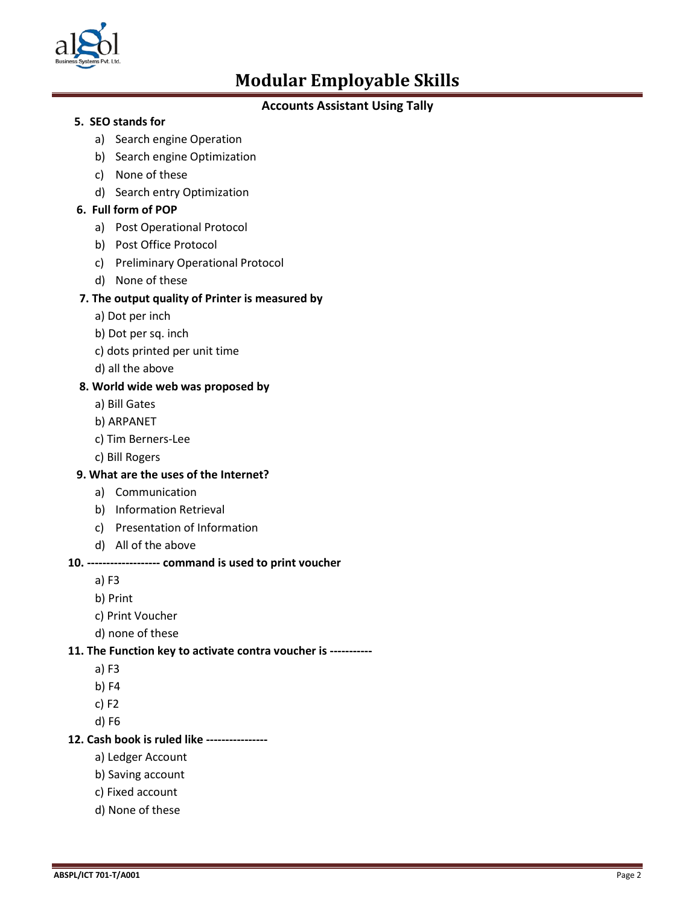

## **Accounts Assistant Using Tally**

### **5. SEO stands for**

- a) Search engine Operation
- b) Search engine Optimization
- c) None of these
- d) Search entry Optimization

## **6. Full form of POP**

- a) Post Operational Protocol
- b) Post Office Protocol
- c) Preliminary Operational Protocol
- d) None of these

## **7. The output quality of Printer is measured by**

- a) Dot per inch
- b) Dot per sq. inch
- c) dots printed per unit time
- d) all the above

#### **8. World wide web was proposed by**

- a) Bill Gates
- b) ARPANET
- c) Tim Berners-Lee
- c) Bill Rogers

#### **9. What are the uses of the Internet?**

- a) Communication
- b) Information Retrieval
- c) Presentation of Information
- d) All of the above

#### **10. ------------------- command is used to print voucher**

- a) F3
- b) Print
- c) Print Voucher
- d) none of these

#### **11. The Function key to activate contra voucher is -----------**

- a) F3
- b) F4
- c) F2
- d) F6

#### **12. Cash book is ruled like ----------------**

- a) Ledger Account
- b) Saving account
- c) Fixed account
- d) None of these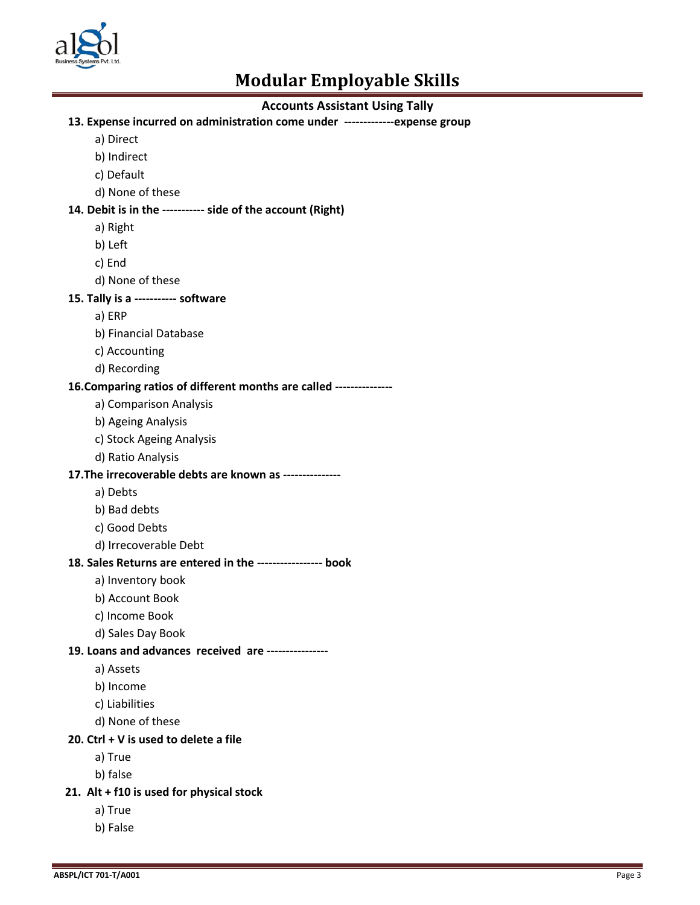

## **Accounts Assistant Using Tally**

#### **13. Expense incurred on administration come under -------------expense group**

- a) Direct
- b) Indirect
- c) Default
- d) None of these

## **14. Debit is in the ----------- side of the account (Right)**

- a) Right
- b) Left
- c) End
- d) None of these
- **15. Tally is a ----------- software** 
	- a) ERP
	- b) Financial Database
	- c) Accounting
	- d) Recording

#### **16.Comparing ratios of different months are called ---------------**

- a) Comparison Analysis
- b) Ageing Analysis
- c) Stock Ageing Analysis
- d) Ratio Analysis

#### **17.The irrecoverable debts are known as ---------------**

- a) Debts
- b) Bad debts
- c) Good Debts
- d) Irrecoverable Debt

### **18. Sales Returns are entered in the ----------------- book**

- a) Inventory book
- b) Account Book
- c) Income Book
- d) Sales Day Book

#### **19. Loans and advances received are ----------------**

- a) Assets
- b) Income
- c) Liabilities
- d) None of these

#### **20. Ctrl + V is used to delete a file**

- a) True
- b) false

#### **21. Alt + f10 is used for physical stock**

- a) True
- b) False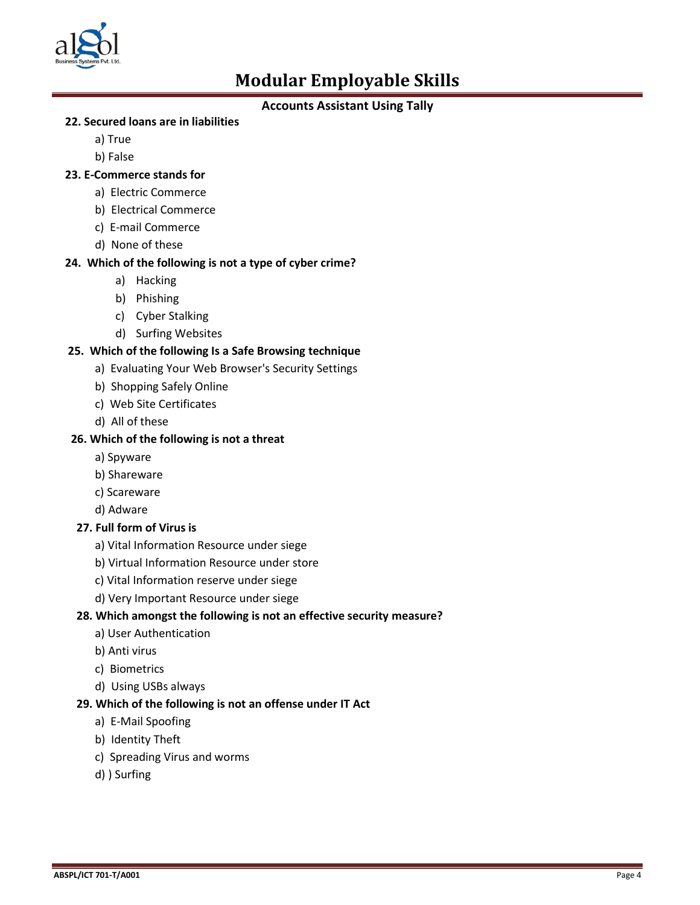

## **Accounts Assistant Using Tally**

## **22. Secured loans are in liabilities**

- a) True
- b) False

## **23. E-Commerce stands for**

- a) Electric Commerce
- b) Electrical Commerce
- c) E-mail Commerce
- d) None of these

## **24. Which of the following is not a type of cyber crime?**

- a) Hacking
- b) Phishing
- c) Cyber Stalking
- d) Surfing Websites

## **25. Which of the following Is a Safe Browsing technique**

- a) Evaluating Your Web Browser's Security Settings
- b) Shopping Safely Online
- c) Web Site Certificates
- d) All of these

#### **26. Which of the following is not a threat**

- a) Spyware
- b) Shareware
- c) Scareware
- d) Adware

## **27. Full form of Virus is**

- a) Vital Information Resource under siege
- b) Virtual Information Resource under store
- c) Vital Information reserve under siege
- d) Very Important Resource under siege

## **28. Which amongst the following is not an effective security measure?**

- a) User Authentication
- b) Anti virus
- c) Biometrics
- d) Using USBs always

## **29. Which of the following is not an offense under IT Act**

- a) E-Mail Spoofing
- b) Identity Theft
- c) Spreading Virus and worms
- d) ) Surfing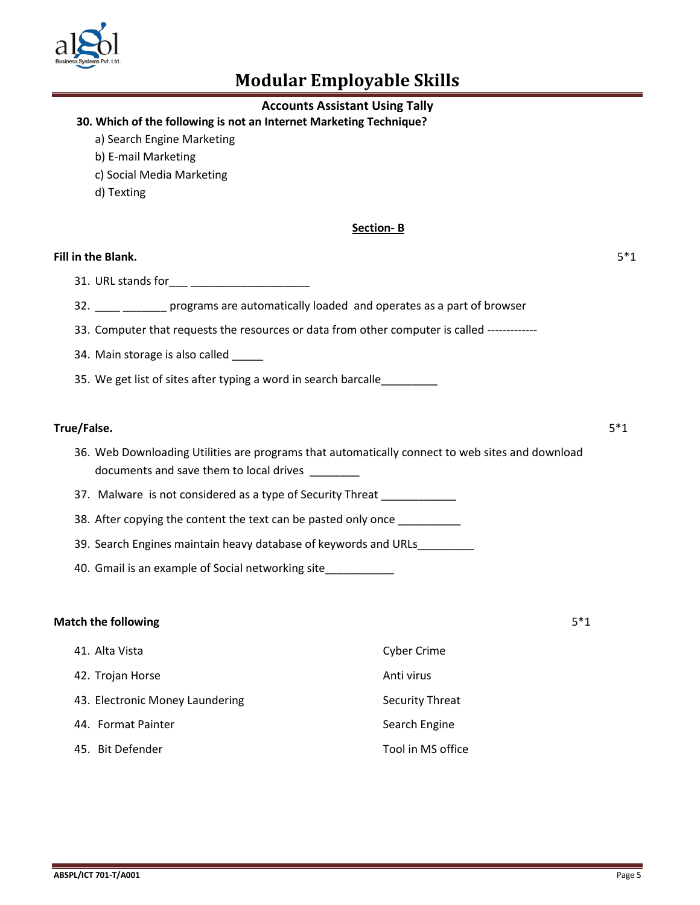

## **Accounts Assistant Using Tally**

## **30. Which of the following is not an Internet Marketing Technique?**

- a) Search Engine Marketing
- b) E-mail Marketing
- c) Social Media Marketing
- d) Texting

#### **Section- B**

#### **Fill in the Blank.** 5\*1

31. URL stands for\_\_\_ \_\_\_\_\_\_\_\_\_\_\_\_\_\_\_\_\_\_\_

- 32. \_\_\_\_ \_\_\_\_\_\_\_\_ programs are automatically loaded and operates as a part of browser
- 33. Computer that requests the resources or data from other computer is called -------------
- 34. Main storage is also called \_\_\_\_\_
- 35. We get list of sites after typing a word in search barcalle

### **True/False.** 5\*1

- 36. Web Downloading Utilities are programs that automatically connect to web sites and download documents and save them to local drives \_\_\_\_\_\_\_\_
- 37. Malware is not considered as a type of Security Threat \_\_\_\_\_\_\_\_\_\_\_
- 38. After copying the content the text can be pasted only once \_\_\_\_\_\_\_\_\_\_\_
- 39. Search Engines maintain heavy database of keywords and URLs\_\_\_\_\_\_\_\_\_
- 40. Gmail is an example of Social networking site

#### **Match the following** 5\*1

| 41. Alta Vista                  | <b>Cyber Crime</b>     |
|---------------------------------|------------------------|
| 42. Trojan Horse                | Anti virus             |
| 43. Electronic Money Laundering | <b>Security Threat</b> |
| 44. Format Painter              | Search Engine          |
| 45. Bit Defender                | Tool in MS office      |